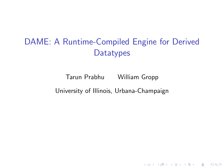# DAME: A Runtime-Compiled Engine for Derived **Datatypes**

Tarun Prabhu William Gropp University of Illinois, Urbana-Champaign

**K ロ ▶ K @ ▶ K 할 X X 할 X → 할 X → 9 Q Q ^**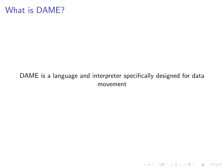#### What is DAME?

#### DAME is a language and interpreter specifically designed for data movement

K ロ ▶ K @ ▶ K 할 ▶ K 할 ▶ | 할 | ⊙Q @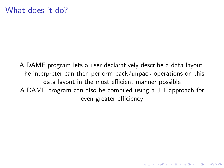A DAME program lets a user declaratively describe a data layout. The interpreter can then perform pack/unpack operations on this data layout in the most efficient manner possible A DAME program can also be compiled using a JIT approach for even greater efficiency

4 D > 4 P + 4 B + 4 B + B + 9 Q O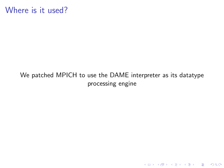#### <span id="page-3-0"></span>Where is it used?

#### We patched MPICH to use the DAME interpreter as its datatype processing engine

イロト イ御 トイミト イミト ニミー りんぴ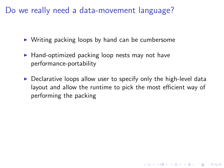<span id="page-4-0"></span>Do we really need a data-movement language?

- $\triangleright$  Writing packing loops by hand can be cumbersome
- $\blacktriangleright$  Hand-optimized packing loop nests may not have performance-portability
- $\triangleright$  Declarative loops allow user to specify only the high-level data layout and allow the runtime to pick the most efficient way of performing the packing

**KORKA SERKER ORA**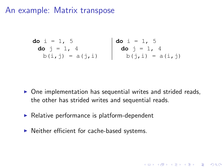#### An example: Matrix transpose

**do** i = 1, 5 **do** i = 1, 5 **do** j = 1, 4 **do** j = 1, 4 b(i,j) = a(j,i) b(j,i) = a(i,j)

 $\triangleright$  One implementation has sequential writes and strided reads, the other has strided writes and sequential reads.

**K ロ ▶ K @ ▶ K 할 X X 할 X → 할 X → 9 Q Q ^** 

- $\blacktriangleright$  Relative performance is platform-dependent
- $\blacktriangleright$  Neither efficient for cache-based systems.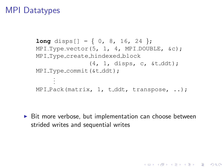#### <span id="page-6-0"></span>MPI Datatypes

```
long disps \begin{bmatrix} 1 \\ 1 \end{bmatrix} = \begin{bmatrix} 0 \\ 0 \\ 0 \end{bmatrix}, 16, 24 };
MPI_Type\_vector(5, 1, 4, MPI_DOUBLE, \&c);MPI Type create hindexed block
                      (4, 1, \text{dips}, c, \text{st}_\text{ddt});MPI_Type_commit(&t_ddt);
       .
       .
       .
MPI Pack(matrix, 1, t_ddt, transpose, ..);
```
 $\triangleright$  Bit more verbose, but implementation can choose between strided writes and sequential writes

**KORKA SERKER ORA**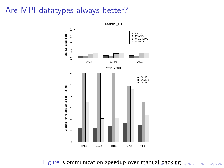#### <span id="page-7-0"></span>Are MPI datatypes always better?



Figure: Communication speedup over [ma](#page-6-0)[nu](#page-8-0)[al](#page-6-0) [p](#page-7-0)[ac](#page-8-0)[k](#page-3-0)[i](#page-4-0)[n](#page-9-0)[g](#page-10-0) $\equiv$  +

É

 $299$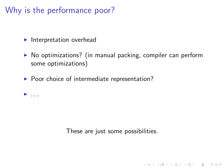# <span id="page-8-0"></span>Why is the performance poor?

 $\blacktriangleright$  Interpretation overhead

 $\blacktriangleright$  ...

- $\triangleright$  No optimizations? (in manual packing, compiler can perform some optimizations)
- $\blacktriangleright$  Poor choice of intermediate representation?

These are just some possibilities.

**K ロ ▶ K @ ▶ K 할 X X 할 X 및 할 X X Q Q O**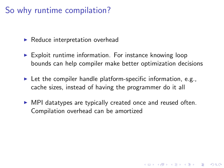# <span id="page-9-0"></span>So why runtime compilation?

- $\blacktriangleright$  Reduce interpretation overhead
- $\triangleright$  Exploit runtime information. For instance knowing loop bounds can help compiler make better optimization decisions
- $\blacktriangleright$  Let the compiler handle platform-specific information, e.g., cache sizes, instead of having the programmer do it all
- $\triangleright$  MPI datatypes are typically created once and reused often. Compilation overhead can be amortized

**KORKAR KERKER E VOOR**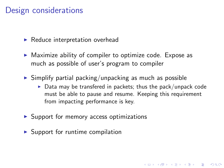#### <span id="page-10-0"></span>Design considerations

 $\blacktriangleright$  Reduce interpretation overhead

- $\triangleright$  Maximize ability of compiler to optimize code. Expose as much as possible of user's program to compiler
- $\triangleright$  Simplify partial packing/unpacking as much as possible
	- $\triangleright$  Data may be transfered in packets; thus the pack/unpack code must be able to pause and resume. Keeping this requirement from impacting performance is key.

**KORKAR KERKER E VOOR** 

- $\triangleright$  Support for memory access optimizations
- $\triangleright$  Support for runtime compilation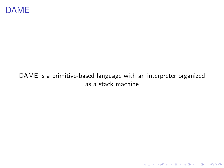#### DAME is a primitive-based language with an interpreter organized as a stack machine

K ロ ▶ K @ ▶ K 할 ▶ K 할 ▶ | 할 | ⊙Q @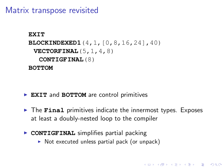Matrix transpose revisited

```
EXIT
BLOCKINDEXED1(4,1,[0,8,16,24],40)
 VECTORFINAL(5,1,4,8)
  CONTIGFINAL(8)
BOTTOM
```
- ▶ EXIT and **BOTTOM** are control primitives
- ▶ The **Final** primitives indicate the innermost types. Exposes at least a doubly-nested loop to the compiler

**KORKA SERKER ORA** 

- **CONTIGFINAL** simplifies partial packing
	- $\triangleright$  Not executed unless partial pack (or unpack)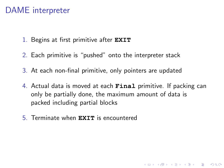# DAME interpreter

- 1. Begins at first primitive after **EXIT**
- 2. Each primitive is "pushed" onto the interpreter stack
- 3. At each non-final primitive, only pointers are updated
- 4. Actual data is moved at each **Final** primitive. If packing can only be partially done, the maximum amount of data is packed including partial blocks

**KORKAR KERKER E VOOR** 

5. Terminate when **EXIT** is encountered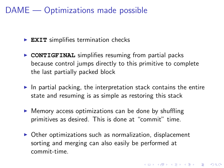# DAME — Optimizations made possible

- **EXIT** simplifies termination checks
- **CONTIGFINAL** simplifies resuming from partial packs because control jumps directly to this primitive to complete the last partially packed block
- $\blacktriangleright$  In partial packing, the interpretation stack contains the entire state and resuming is as simple as restoring this stack
- $\triangleright$  Memory access optimizations can be done by shuffling primitives as desired. This is done at "commit" time.
- $\triangleright$  Other optimizations such as normalization, displacement sorting and merging can also easily be performed at commit-time.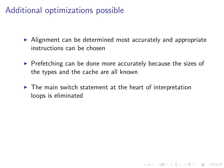# Additional optimizations possible

- $\triangleright$  Alignment can be determined most accurately and appropriate instructions can be chosen
- $\triangleright$  Prefetching can be done more accurately because the sizes of the types and the cache are all known

K ロ ▶ K @ ▶ K 할 > K 할 > 1 할 > 1 이익어

 $\blacktriangleright$  The main switch statement at the heart of interpretation loops is eliminated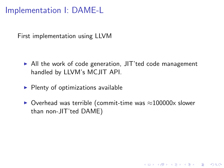<span id="page-16-0"></span>Implementation I: DAME-L

First implementation using LLVM

- $\triangleright$  All the work of code generation, JIT'ted code management handled by LLVM's MCJIT API.
- $\blacktriangleright$  Plenty of optimizations available
- $\triangleright$  Overhead was terrible (commit-time was  $\approx$ 100000x slower than non-JIT'ted DAME)

K ロ ▶ K @ ▶ K 할 > K 할 > 1 할 > 1 이익어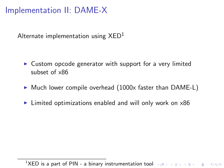# <span id="page-17-0"></span>Implementation II: DAME-X

Alternate implementation using  $XED<sup>1</sup>$ 

- $\triangleright$  Custom opcode generator with support for a very limited subset of x86
- $\triangleright$  Much lower compile overhead (1000x faster than DAME-L)
- $\blacktriangleright$  Limited optimizations enabled and will only work on  $x86$

1XED is a part of PIN - a binary instrumentation [to](#page-16-0)[ol](#page-18-0) of the service service on  $\infty$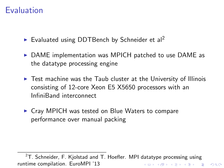#### <span id="page-18-0"></span>Evaluation

- Evaluated using DDTBench by Schneider et al<sup>2</sup>
- $\triangleright$  DAME implementation was MPICH patched to use DAME as the datatype processing engine
- $\triangleright$  Test machine was the Taub cluster at the University of Illinois consisting of 12-core Xeon E5 X5650 processors with an InfiniBand interconnect
- $\triangleright$  Crav MPICH was tested on Blue Waters to compare performance over manual packing

 $2T$ . Schneider, F. Kjolstad and T. Hoefler. MPI datatype processing using runtime compilation. EuroMPI '13K ロ ▶ K @ ▶ K 할 > K 할 > 1 할 > 1 이익어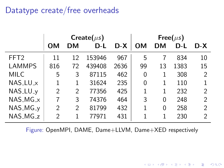# Datatype create/free overheads

|                  | Create( $\mu s$ ) |    |        |       | Free( $\mu s$ ) |          |      |                |
|------------------|-------------------|----|--------|-------|-----------------|----------|------|----------------|
|                  | OМ                | DМ | D-L    | $D-X$ | OΜ              | DМ       | D-L  | D-X            |
| FFT <sub>2</sub> | 11                | 12 | 153946 | 967   | 5               |          | 834  | 10             |
| <b>LAMMPS</b>    | 816               | 72 | 439408 | 2636  | 99              | 13       | 1383 | 15             |
| MILC             | 5                 | 3  | 87115  | 462   | 0               | 1        | 308  | $\overline{2}$ |
| $NAS_LU_X$       | 1                 | 1  | 31624  | 235   | 0               | 1        | 110  |                |
| NAS_LU_y         | 2                 | 2  | 77356  | 425   |                 | 1        | 232  | 2              |
| $NAS_MG_X$       |                   | 3  | 74376  | 464   | 3               | $\Omega$ | 248  | $\mathfrak{D}$ |
| NAS_MG_y         | 2                 | 2  | 81799  | 432   | 1               | 0        | 258  | 2              |
| NAS_MG_z         | $\mathcal{P}$     |    | 77971  | 431   |                 | 1        | 230  | 2              |

Figure: OpenMPI, DAME, Dame+LLVM, Dame+XED respectively

K ロ ▶ K @ ▶ K 할 > K 할 > 1 할 > 1 이익어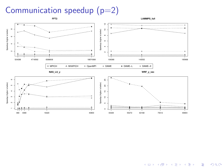## Communication speedup  $(p=2)$



K ロ ▶ K @ ▶ K 할 ▶ K 할 ▶ | 할 | © 9 Q @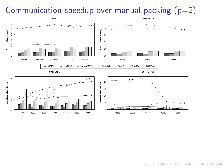## <span id="page-21-0"></span>Communication speedup over manual packing  $(p=2)$



**KORK STRAIN A BAR SHOP**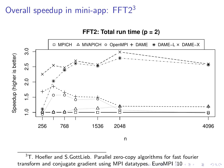# <span id="page-22-0"></span>Overall speedup in mini-app: FFT2<sup>3</sup>

**FFT2: Total run time (p = 2)**



 $3T$ . Hoefler and S.GottLieb. Parallel zero-copy algorithms for fast fourier transform and conjugate gradient using MPI dataty[pes](#page-21-0). [E](#page-23-0)[ur](#page-21-0)[oM](#page-22-0)[PI](#page-17-0)  $\neq 10$  $\neq 10$  $\neq 10$ Þ  $299$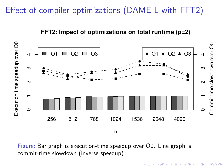# <span id="page-23-0"></span>Effect of compiler optimizations (DAME-L with FFT2)



n

#### **FFT2: Impact of optimizations on total runtime (p=2)**

Figure: Bar graph is execution-time speedup over O0. Line graph is commit-time slowdown (inverse speedup)

 $2990$ 

 $4.013.4.013.4.733.4.733$